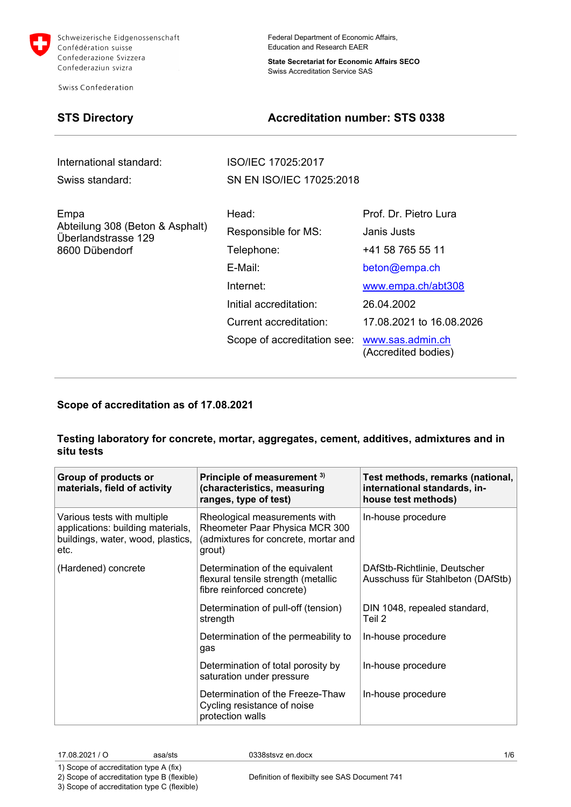

**Swiss Confederation** 

Federal Department of Economic Affairs, Education and Research EAER

**State Secretariat for Economic Affairs SECO** Swiss Accreditation Service SAS

# **STS Directory Accreditation number: STS 0338**

International standard: ISO/IEC 17025:2017 Swiss standard: SN EN ISO/IEC 17025:2018

| Empa<br>Abteilung 308 (Beton & Asphalt)<br>Überlandstrasse 129<br>8600 Dübendorf | Head:                       | Prof. Dr. Pietro Lura                   |
|----------------------------------------------------------------------------------|-----------------------------|-----------------------------------------|
|                                                                                  | Responsible for MS:         | Janis Justs                             |
|                                                                                  | Telephone:                  | +41 58 765 55 11                        |
|                                                                                  | E-Mail:                     | beton@empa.ch                           |
|                                                                                  | Internet:                   | www.empa.ch/abt308                      |
|                                                                                  | Initial accreditation:      | 26.04.2002                              |
|                                                                                  | Current accreditation:      | 17.08.2021 to 16.08.2026                |
|                                                                                  | Scope of accreditation see: | www.sas.admin.ch<br>(Accredited bodies) |
|                                                                                  |                             |                                         |

### **Scope of accreditation as of 17.08.2021**

### **Testing laboratory for concrete, mortar, aggregates, cement, additives, admixtures and in situ tests**

| Group of products or<br>materials, field of activity                                                          | Principle of measurement 3)<br>(characteristics, measuring<br>ranges, type of test)                               | Test methods, remarks (national,<br>international standards, in-<br>house test methods) |
|---------------------------------------------------------------------------------------------------------------|-------------------------------------------------------------------------------------------------------------------|-----------------------------------------------------------------------------------------|
| Various tests with multiple<br>applications: building materials,<br>buildings, water, wood, plastics,<br>etc. | Rheological measurements with<br>Rheometer Paar Physica MCR 300<br>(admixtures for concrete, mortar and<br>grout) | In-house procedure                                                                      |
| (Hardened) concrete                                                                                           | Determination of the equivalent<br>flexural tensile strength (metallic<br>fibre reinforced concrete)              | DAfStb-Richtlinie, Deutscher<br>Ausschuss für Stahlbeton (DAfStb)                       |
|                                                                                                               | Determination of pull-off (tension)<br>strength                                                                   | DIN 1048, repealed standard,<br>Teil 2                                                  |
|                                                                                                               | Determination of the permeability to<br>gas                                                                       | In-house procedure                                                                      |
|                                                                                                               | Determination of total porosity by<br>saturation under pressure                                                   | In-house procedure                                                                      |
|                                                                                                               | Determination of the Freeze-Thaw<br>Cycling resistance of noise<br>protection walls                               | In-house procedure                                                                      |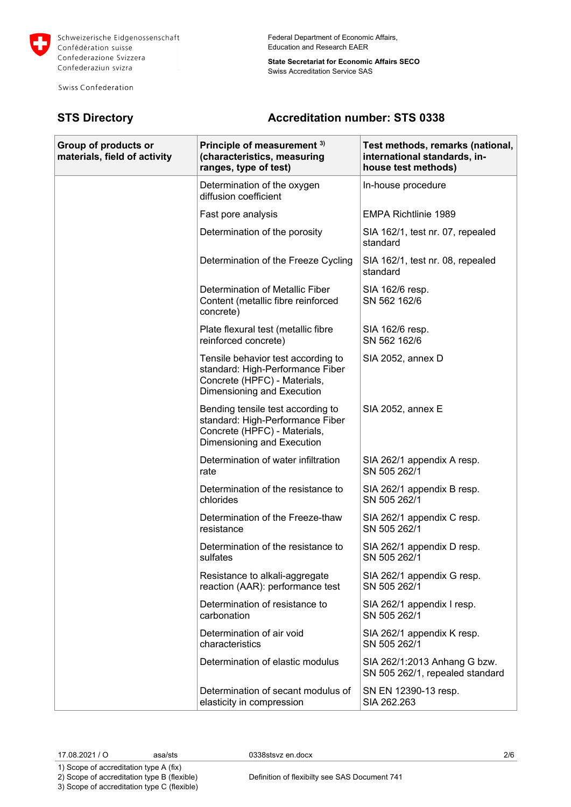

Swiss Confederation

Federal Department of Economic Affairs, Education and Research EAER

**State Secretariat for Economic Affairs SECO** Swiss Accreditation Service SAS

## **STS Directory Accreditation number: STS 0338**

| Group of products or<br>materials, field of activity | Principle of measurement 3)<br>(characteristics, measuring<br>ranges, type of test)                                                  | Test methods, remarks (national,<br>international standards, in-<br>house test methods) |
|------------------------------------------------------|--------------------------------------------------------------------------------------------------------------------------------------|-----------------------------------------------------------------------------------------|
|                                                      | Determination of the oxygen<br>diffusion coefficient                                                                                 | In-house procedure                                                                      |
|                                                      | Fast pore analysis                                                                                                                   | <b>EMPA Richtlinie 1989</b>                                                             |
|                                                      | Determination of the porosity                                                                                                        | SIA 162/1, test nr. 07, repealed<br>standard                                            |
|                                                      | Determination of the Freeze Cycling                                                                                                  | SIA 162/1, test nr. 08, repealed<br>standard                                            |
|                                                      | Determination of Metallic Fiber<br>Content (metallic fibre reinforced<br>concrete)                                                   | SIA 162/6 resp.<br>SN 562 162/6                                                         |
|                                                      | Plate flexural test (metallic fibre<br>reinforced concrete)                                                                          | SIA 162/6 resp.<br>SN 562 162/6                                                         |
|                                                      | Tensile behavior test according to<br>standard: High-Performance Fiber<br>Concrete (HPFC) - Materials,<br>Dimensioning and Execution | SIA 2052, annex D                                                                       |
|                                                      | Bending tensile test according to<br>standard: High-Performance Fiber<br>Concrete (HPFC) - Materials,<br>Dimensioning and Execution  | <b>SIA 2052, annex E</b>                                                                |
|                                                      | Determination of water infiltration<br>rate                                                                                          | SIA 262/1 appendix A resp.<br>SN 505 262/1                                              |
|                                                      | Determination of the resistance to<br>chlorides                                                                                      | SIA 262/1 appendix B resp.<br>SN 505 262/1                                              |
|                                                      | Determination of the Freeze-thaw<br>resistance                                                                                       | SIA 262/1 appendix C resp.<br>SN 505 262/1                                              |
|                                                      | Determination of the resistance to<br>sulfates                                                                                       | SIA 262/1 appendix D resp.<br>SN 505 262/1                                              |
|                                                      | Resistance to alkali-aggregate<br>reaction (AAR): performance test                                                                   | SIA 262/1 appendix G resp.<br>SN 505 262/1                                              |
|                                                      | Determination of resistance to<br>carbonation                                                                                        | SIA 262/1 appendix I resp.<br>SN 505 262/1                                              |
|                                                      | Determination of air void<br>characteristics                                                                                         | SIA 262/1 appendix K resp.<br>SN 505 262/1                                              |
|                                                      | Determination of elastic modulus                                                                                                     | SIA 262/1:2013 Anhang G bzw.<br>SN 505 262/1, repealed standard                         |
|                                                      | Determination of secant modulus of<br>elasticity in compression                                                                      | SN EN 12390-13 resp.<br>SIA 262.263                                                     |

1) Scope of accreditation type A (fix) 2) Scope of accreditation type B (flexible)

3) Scope of accreditation type C (flexible)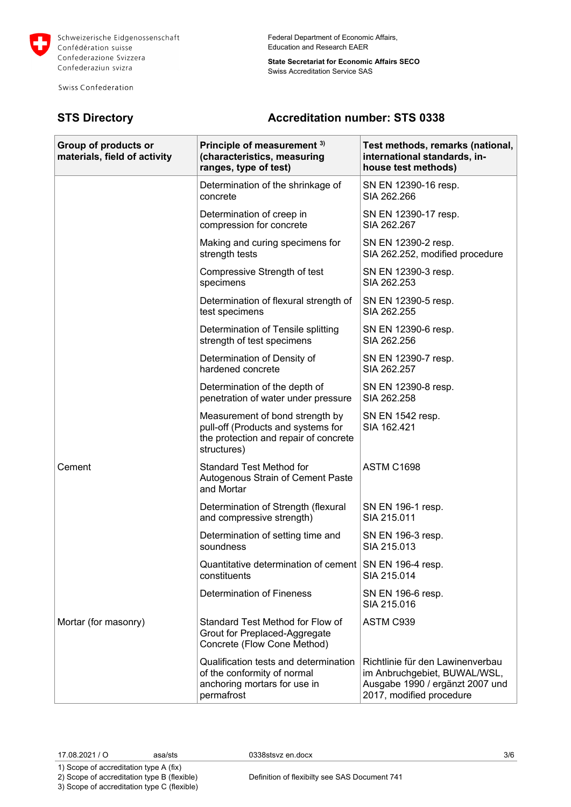

Swiss Confederation

Federal Department of Economic Affairs, Education and Research EAER

**State Secretariat for Economic Affairs SECO** Swiss Accreditation Service SAS

## **STS Directory Accreditation number: STS 0338**

| Group of products or<br>materials, field of activity | Principle of measurement 3)<br>(characteristics, measuring<br>ranges, type of test)                                           | Test methods, remarks (national,<br>international standards, in-<br>house test methods)                                         |
|------------------------------------------------------|-------------------------------------------------------------------------------------------------------------------------------|---------------------------------------------------------------------------------------------------------------------------------|
|                                                      | Determination of the shrinkage of<br>concrete                                                                                 | SN EN 12390-16 resp.<br>SIA 262.266                                                                                             |
|                                                      | Determination of creep in<br>compression for concrete                                                                         | SN EN 12390-17 resp.<br>SIA 262.267                                                                                             |
|                                                      | Making and curing specimens for<br>strength tests                                                                             | SN EN 12390-2 resp.<br>SIA 262.252, modified procedure                                                                          |
|                                                      | Compressive Strength of test<br>specimens                                                                                     | SN EN 12390-3 resp.<br>SIA 262.253                                                                                              |
|                                                      | Determination of flexural strength of<br>test specimens                                                                       | SN EN 12390-5 resp.<br>SIA 262.255                                                                                              |
|                                                      | Determination of Tensile splitting<br>strength of test specimens                                                              | SN EN 12390-6 resp.<br>SIA 262.256                                                                                              |
|                                                      | Determination of Density of<br>hardened concrete                                                                              | SN EN 12390-7 resp.<br>SIA 262.257                                                                                              |
|                                                      | Determination of the depth of<br>penetration of water under pressure                                                          | SN EN 12390-8 resp.<br>SIA 262.258                                                                                              |
|                                                      | Measurement of bond strength by<br>pull-off (Products and systems for<br>the protection and repair of concrete<br>structures) | SN EN 1542 resp.<br>SIA 162.421                                                                                                 |
| Cement                                               | <b>Standard Test Method for</b><br>Autogenous Strain of Cement Paste<br>and Mortar                                            | ASTM C1698                                                                                                                      |
|                                                      | Determination of Strength (flexural<br>and compressive strength)                                                              | SN EN 196-1 resp.<br>SIA 215.011                                                                                                |
|                                                      | Determination of setting time and<br>soundness                                                                                | SN EN 196-3 resp.<br>SIA 215.013                                                                                                |
|                                                      | Quantitative determination of cement SN EN 196-4 resp.<br>constituents                                                        | SIA 215.014                                                                                                                     |
|                                                      | <b>Determination of Fineness</b>                                                                                              | SN EN 196-6 resp.<br>SIA 215,016                                                                                                |
| Mortar (for masonry)                                 | Standard Test Method for Flow of<br>Grout for Preplaced-Aggregate<br>Concrete (Flow Cone Method)                              | ASTM C939                                                                                                                       |
|                                                      | Qualification tests and determination<br>of the conformity of normal<br>anchoring mortars for use in<br>permafrost            | Richtlinie für den Lawinenverbau<br>im Anbruchgebiet, BUWAL/WSL,<br>Ausgabe 1990 / ergänzt 2007 und<br>2017, modified procedure |

1) Scope of accreditation type A (fix) 2) Scope of accreditation type B (flexible)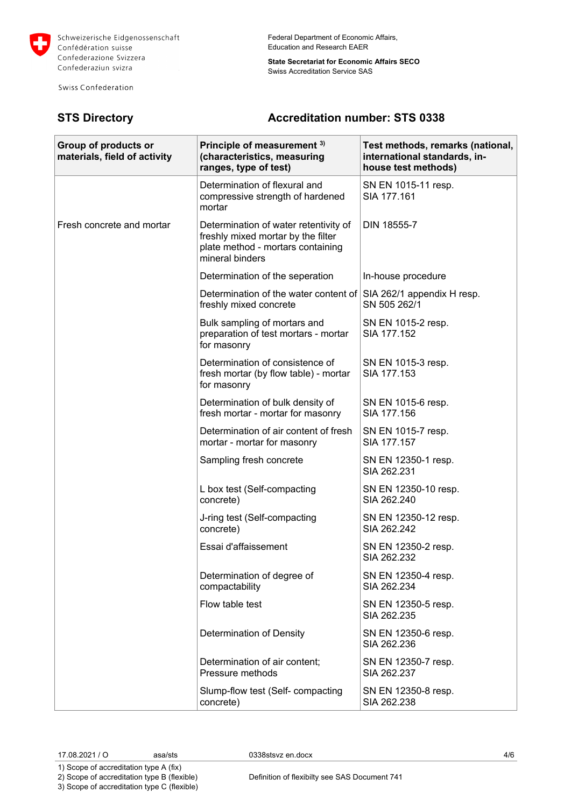

Swiss Confederation

Federal Department of Economic Affairs, Education and Research EAER

**State Secretariat for Economic Affairs SECO** Swiss Accreditation Service SAS

## **STS Directory Accreditation number: STS 0338**

| Group of products or<br>materials, field of activity | Principle of measurement 3)<br>(characteristics, measuring<br>ranges, type of test)                                                 | Test methods, remarks (national,<br>international standards, in-<br>house test methods) |
|------------------------------------------------------|-------------------------------------------------------------------------------------------------------------------------------------|-----------------------------------------------------------------------------------------|
|                                                      | Determination of flexural and<br>compressive strength of hardened<br>mortar                                                         | SN EN 1015-11 resp.<br>SIA 177.161                                                      |
| Fresh concrete and mortar                            | Determination of water retentivity of<br>freshly mixed mortar by the filter<br>plate method - mortars containing<br>mineral binders | DIN 18555-7                                                                             |
|                                                      | Determination of the seperation                                                                                                     | In-house procedure                                                                      |
|                                                      | Determination of the water content of<br>freshly mixed concrete                                                                     | SIA 262/1 appendix H resp.<br>SN 505 262/1                                              |
|                                                      | Bulk sampling of mortars and<br>preparation of test mortars - mortar<br>for masonry                                                 | SN EN 1015-2 resp.<br>SIA 177.152                                                       |
|                                                      | Determination of consistence of<br>fresh mortar (by flow table) - mortar<br>for masonry                                             | SN EN 1015-3 resp.<br>SIA 177.153                                                       |
|                                                      | Determination of bulk density of<br>fresh mortar - mortar for masonry                                                               | SN EN 1015-6 resp.<br>SIA 177.156                                                       |
|                                                      | Determination of air content of fresh<br>mortar - mortar for masonry                                                                | SN EN 1015-7 resp.<br>SIA 177.157                                                       |
|                                                      | Sampling fresh concrete                                                                                                             | SN EN 12350-1 resp.<br>SIA 262.231                                                      |
|                                                      | L box test (Self-compacting<br>concrete)                                                                                            | SN EN 12350-10 resp.<br>SIA 262.240                                                     |
|                                                      | J-ring test (Self-compacting<br>concrete)                                                                                           | SN EN 12350-12 resp.<br>SIA 262.242                                                     |
|                                                      | Essai d'affaissement                                                                                                                | SN EN 12350-2 resp.<br>SIA 262.232                                                      |
|                                                      | Determination of degree of<br>compactability                                                                                        | SN EN 12350-4 resp.<br>SIA 262.234                                                      |
|                                                      | Flow table test                                                                                                                     | SN EN 12350-5 resp.<br>SIA 262.235                                                      |
|                                                      | Determination of Density                                                                                                            | SN EN 12350-6 resp.<br>SIA 262.236                                                      |
|                                                      | Determination of air content;<br>Pressure methods                                                                                   | SN EN 12350-7 resp.<br>SIA 262.237                                                      |
|                                                      | Slump-flow test (Self- compacting<br>concrete)                                                                                      | SN EN 12350-8 resp.<br>SIA 262.238                                                      |

1) Scope of accreditation type A (fix) 2) Scope of accreditation type B (flexible)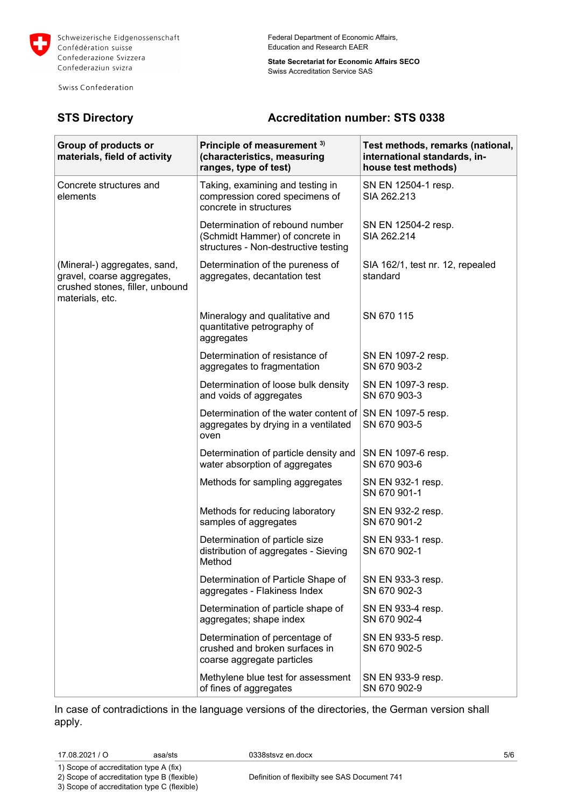

Swiss Confederation

Federal Department of Economic Affairs, Education and Research EAER

**State Secretariat for Economic Affairs SECO** Swiss Accreditation Service SAS

### **STS Directory Accreditation number: STS 0338**

| Group of products or<br>materials, field of activity                                                             | Principle of measurement 3)<br>(characteristics, measuring<br>ranges, type of test)                        | Test methods, remarks (national,<br>international standards, in-<br>house test methods) |
|------------------------------------------------------------------------------------------------------------------|------------------------------------------------------------------------------------------------------------|-----------------------------------------------------------------------------------------|
| Concrete structures and<br>elements                                                                              | Taking, examining and testing in<br>compression cored specimens of<br>concrete in structures               | SN EN 12504-1 resp.<br>SIA 262.213                                                      |
|                                                                                                                  | Determination of rebound number<br>(Schmidt Hammer) of concrete in<br>structures - Non-destructive testing | SN EN 12504-2 resp.<br>SIA 262.214                                                      |
| (Mineral-) aggregates, sand,<br>gravel, coarse aggregates,<br>crushed stones, filler, unbound<br>materials, etc. | Determination of the pureness of<br>aggregates, decantation test                                           | SIA 162/1, test nr. 12, repealed<br>standard                                            |
|                                                                                                                  | Mineralogy and qualitative and<br>quantitative petrography of<br>aggregates                                | SN 670 115                                                                              |
|                                                                                                                  | Determination of resistance of<br>aggregates to fragmentation                                              | SN EN 1097-2 resp.<br>SN 670 903-2                                                      |
|                                                                                                                  | Determination of loose bulk density<br>and voids of aggregates                                             | SN EN 1097-3 resp.<br>SN 670 903-3                                                      |
|                                                                                                                  | Determination of the water content of<br>aggregates by drying in a ventilated<br>oven                      | SN EN 1097-5 resp.<br>SN 670 903-5                                                      |
|                                                                                                                  | Determination of particle density and<br>water absorption of aggregates                                    | SN EN 1097-6 resp.<br>SN 670 903-6                                                      |
|                                                                                                                  | Methods for sampling aggregates                                                                            | SN EN 932-1 resp.<br>SN 670 901-1                                                       |
|                                                                                                                  | Methods for reducing laboratory<br>samples of aggregates                                                   | SN EN 932-2 resp.<br>SN 670 901-2                                                       |
|                                                                                                                  | Determination of particle size<br>distribution of aggregates - Sieving<br>Method                           | SN EN 933-1 resp.<br>SN 670 902-1                                                       |
|                                                                                                                  | Determination of Particle Shape of<br>aggregates - Flakiness Index                                         | SN EN 933-3 resp.<br>SN 670 902-3                                                       |
|                                                                                                                  | Determination of particle shape of<br>aggregates; shape index                                              | SN EN 933-4 resp.<br>SN 670 902-4                                                       |
|                                                                                                                  | Determination of percentage of<br>crushed and broken surfaces in<br>coarse aggregate particles             | SN EN 933-5 resp.<br>SN 670 902-5                                                       |
|                                                                                                                  | Methylene blue test for assessment<br>of fines of aggregates                                               | SN EN 933-9 resp.<br>SN 670 902-9                                                       |

In case of contradictions in the language versions of the directories, the German version shall apply.

1) Scope of accreditation type A (fix) 2) Scope of accreditation type B (flexible)

3) Scope of accreditation type C (flexible)